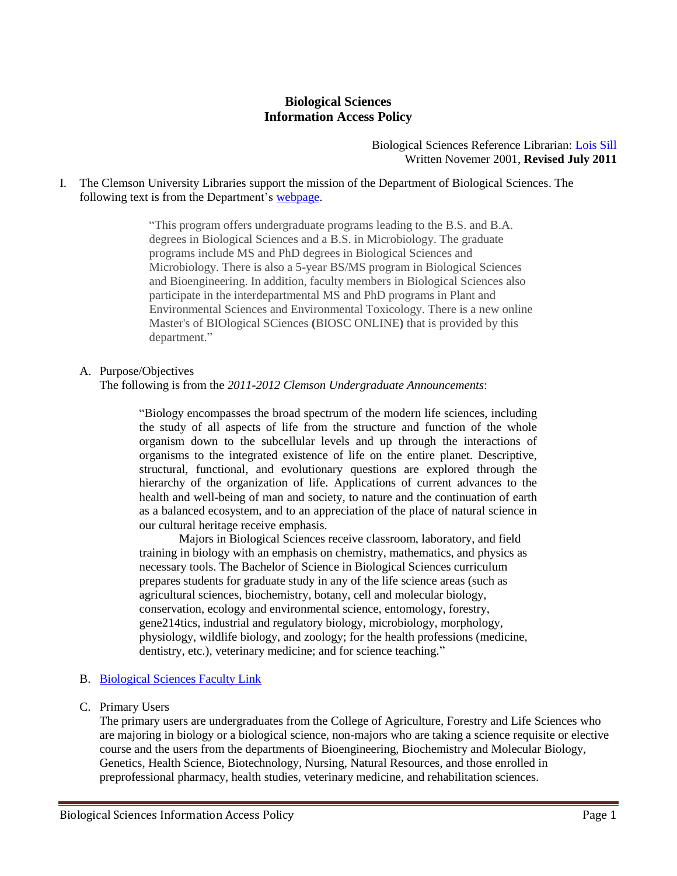# **Biological Sciences Information Access Policy**

Biological Sciences Reference Librarian: Lois Sill Written Novemer 2001, **Revised July 2011**

I. The Clemson University Libraries support the mission of the Department of Biological Sciences. The following text is from the Department's [webpage.](http://www.clemson.edu/cafls/departments/biosci/)

> "This program offers undergraduate programs leading to the B.S. and B.A. degrees in Biological Sciences and a B.S. in Microbiology. The graduate programs include MS and PhD degrees in Biological Sciences and Microbiology. There is also a 5-year BS/MS program in Biological Sciences and Bioengineering. In addition, faculty members in Biological Sciences also participate in the interdepartmental MS and PhD programs in Plant and Environmental Sciences and Environmental Toxicology. There is a new online Master's of BIOlogical SCiences **(**BIOSC ONLINE**)** that is provided by this department."

## A. Purpose/Objectives

The following is from the *2011-2012 Clemson Undergraduate Announcements*:

"Biology encompasses the broad spectrum of the modern life sciences, including the study of all aspects of life from the structure and function of the whole organism down to the subcellular levels and up through the interactions of organisms to the integrated existence of life on the entire planet. Descriptive, structural, functional, and evolutionary questions are explored through the hierarchy of the organization of life. Applications of current advances to the health and well-being of man and society, to nature and the continuation of earth as a balanced ecosystem, and to an appreciation of the place of natural science in our cultural heritage receive emphasis.

Majors in Biological Sciences receive classroom, laboratory, and field training in biology with an emphasis on chemistry, mathematics, and physics as necessary tools. The Bachelor of Science in Biological Sciences curriculum prepares students for graduate study in any of the life science areas (such as agricultural sciences, biochemistry, botany, cell and molecular biology, conservation, ecology and environmental science, entomology, forestry, gene214tics, industrial and regulatory biology, microbiology, morphology, physiology, wildlife biology, and zoology; for the health professions (medicine, dentistry, etc.), veterinary medicine; and for science teaching."

## B. [Biological Sciences Faculty Link](http://www.clemson.edu/cafls/departments/biosci/faculty_staff/index.html)

C. Primary Users

The primary users are undergraduates from the College of Agriculture, Forestry and Life Sciences who are majoring in biology or a biological science, non-majors who are taking a science requisite or elective course and the users from the departments of Bioengineering, Biochemistry and Molecular Biology, Genetics, Health Science, Biotechnology, Nursing, Natural Resources, and those enrolled in preprofessional pharmacy, health studies, veterinary medicine, and rehabilitation sciences.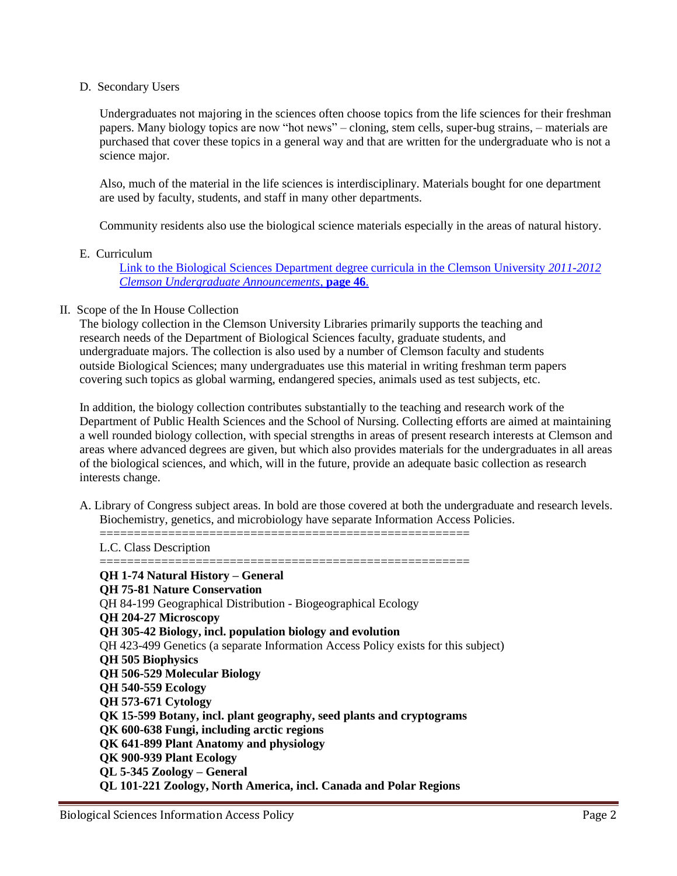## D. Secondary Users

Undergraduates not majoring in the sciences often choose topics from the life sciences for their freshman papers. Many biology topics are now "hot news" – cloning, stem cells, super-bug strains, – materials are purchased that cover these topics in a general way and that are written for the undergraduate who is not a science major.

Also, much of the material in the life sciences is interdisciplinary. Materials bought for one department are used by faculty, students, and staff in many other departments.

Community residents also use the biological science materials especially in the areas of natural history.

# E. Curriculum

[Link to the Biological Sciences](http://www.registrar.clemson.edu/publicat/catalog/2011/afls.pdf) Department degree curricula in the Clemson University *2011-2012 [Clemson Undergraduate Announcements](http://www.registrar.clemson.edu/publicat/catalog/2011/afls.pdf)*, **page 46**.

## II. Scope of the In House Collection

The biology collection in the Clemson University Libraries primarily supports the teaching and research needs of the Department of Biological Sciences faculty, graduate students, and undergraduate majors. The collection is also used by a number of Clemson faculty and students outside Biological Sciences; many undergraduates use this material in writing freshman term papers covering such topics as global warming, endangered species, animals used as test subjects, etc.

In addition, the biology collection contributes substantially to the teaching and research work of the Department of Public Health Sciences and the School of Nursing. Collecting efforts are aimed at maintaining a well rounded biology collection, with special strengths in areas of present research interests at Clemson and areas where advanced degrees are given, but which also provides materials for the undergraduates in all areas of the biological sciences, and which, will in the future, provide an adequate basic collection as research interests change.

A. Library of Congress subject areas. In bold are those covered at both the undergraduate and research levels. Biochemistry, genetics, and microbiology have separate Information Access Policies.

L.C. Class Description

====================================================== **QH 1-74 Natural History – General QH 75-81 Nature Conservation** QH 84-199 Geographical Distribution - Biogeographical Ecology **QH 204-27 Microscopy QH 305-42 Biology, incl. population biology and evolution** QH 423-499 Genetics (a separate Information Access Policy exists for this subject) **QH 505 Biophysics QH 506-529 Molecular Biology QH 540-559 Ecology QH 573-671 Cytology QK 15-599 Botany, incl. plant geography, seed plants and cryptograms QK 600-638 Fungi, including arctic regions QK 641-899 Plant Anatomy and physiology QK 900-939 Plant Ecology QL 5-345 Zoology – General QL 101-221 Zoology, North America, incl. Canada and Polar Regions**

======================================================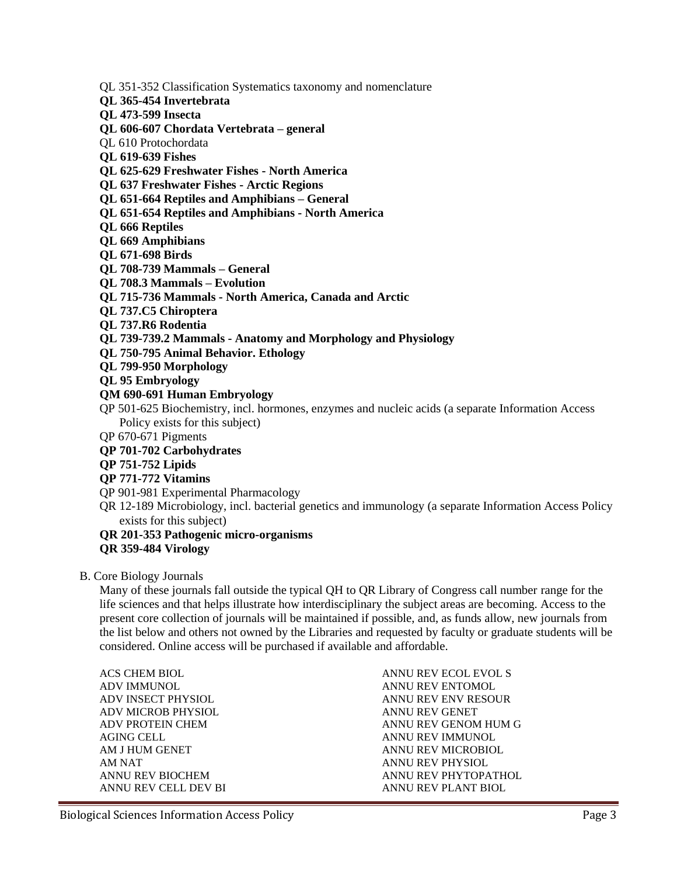QL 351-352 Classification Systematics taxonomy and nomenclature

- **QL 365-454 Invertebrata**
- **QL 473-599 Insecta**
- **QL 606-607 Chordata Vertebrata – general**
- QL 610 Protochordata
- **QL 619-639 Fishes**
- **QL 625-629 Freshwater Fishes - North America**
- **QL 637 Freshwater Fishes - Arctic Regions**
- **QL 651-664 Reptiles and Amphibians – General**
- **QL 651-654 Reptiles and Amphibians - North America**
- **QL 666 Reptiles**
- **QL 669 Amphibians**
- **QL 671-698 Birds**
- **QL 708-739 Mammals – General**
- **QL 708.3 Mammals – Evolution**
- **QL 715-736 Mammals - North America, Canada and Arctic**
- **QL 737.C5 Chiroptera**
- **QL 737.R6 Rodentia**
- **QL 739-739.2 Mammals - Anatomy and Morphology and Physiology**
- **QL 750-795 Animal Behavior. Ethology**
- **QL 799-950 Morphology**
- **QL 95 Embryology**
- **QM 690-691 Human Embryology**
- QP 501-625 Biochemistry, incl. hormones, enzymes and nucleic acids (a separate Information Access Policy exists for this subject)
- QP 670-671 Pigments
- **QP 701-702 Carbohydrates**
- **QP 751-752 Lipids**
- **QP 771-772 Vitamins**
- QP 901-981 Experimental Pharmacology
- QR 12-189 Microbiology, incl. bacterial genetics and immunology (a separate Information Access Policy exists for this subject)

#### **QR 201-353 Pathogenic micro-organisms**

### **QR 359-484 Virology**

#### B. Core Biology Journals

Many of these journals fall outside the typical QH to QR Library of Congress call number range for the life sciences and that helps illustrate how interdisciplinary the subject areas are becoming. Access to the present core collection of journals will be maintained if possible, and, as funds allow, new journals from the list below and others not owned by the Libraries and requested by faculty or graduate students will be considered. Online access will be purchased if available and affordable.

| ANNU REV ECOL EVOL S |
|----------------------|
| ANNU REV ENTOMOL     |
| ANNU REV ENV RESOUR  |
| ANNU REV GENET       |
| ANNU REV GENOM HUM G |
| ANNU REV IMMUNOL     |
| ANNU REV MICROBIOL   |
| ANNU REV PHYSIOL     |
| ANNU REV PHYTOPATHOL |
| ANNU REV PLANT BIOL  |
|                      |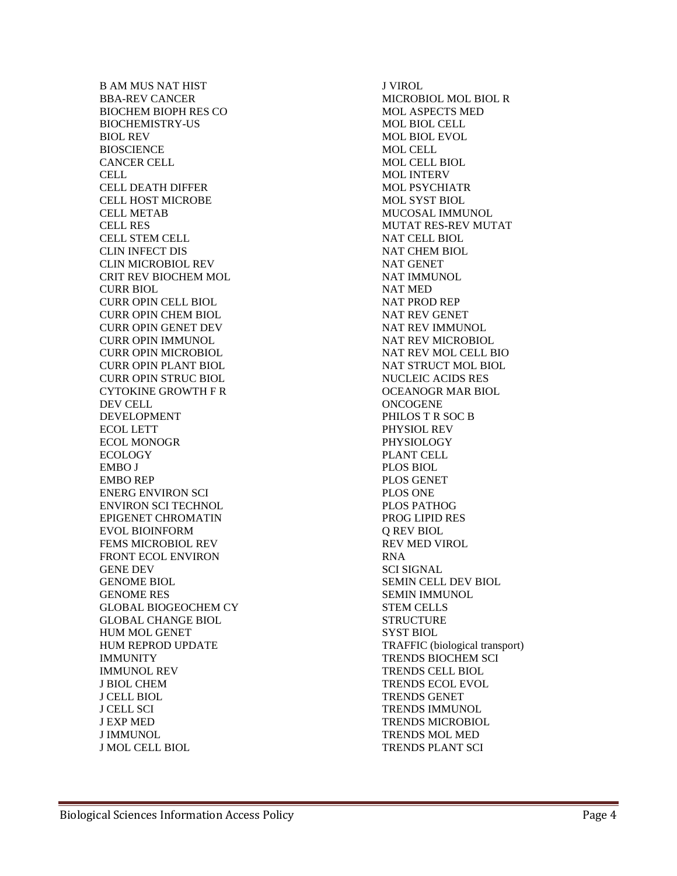B AM MUS NAT HIST BBA-REV CANCER BIOCHEM BIOPH RES CO BIOCHEMISTRY-US BIOL REV **BIOSCIENCE** CANCER CELL CELL CELL DEATH DIFFER CELL HOST MICROBE CELL METAB CELL RES CELL STEM CELL CLIN INFECT DIS CLIN MICROBIOL REV CRIT REV BIOCHEM MOL CURR BIOL CURR OPIN CELL BIOL CURR OPIN CHEM BIOL CURR OPIN GENET DEV CURR OPIN IMMUNOL CURR OPIN MICROBIOL CURR OPIN PLANT BIOL CURR OPIN STRUC BIOL CYTOKINE GROWTH F R DEV CELL DEVELOPMENT ECOL LETT ECOL MONOGR ECOLOGY EMBO J EMBO REP ENERG ENVIRON SCI ENVIRON SCI TECHNOL EPIGENET CHROMATIN EVOL BIOINFORM FEMS MICROBIOL REV FRONT ECOL ENVIRON GENE DEV GENOME BIOL GENOME RES GLOBAL BIOGEOCHEM CY GLOBAL CHANGE BIOL HUM MOL GENET HUM REPROD UPDATE IMMUNITY IMMUNOL REV J BIOL CHEM J CELL BIOL J CELL SCI J EXP MED J IMMUNOL J MOL CELL BIOL

J VIROL MICROBIOL MOL BIOL R MOL ASPECTS MED MOL BIOL CELL MOL BIOL EVOL MOL CELL MOL CELL BIOL MOL INTERV MOL PSYCHIATR MOL SYST BIOL MUCOSAL IMMUNOL MUTAT RES-REV MUTAT NAT CELL BIOL NAT CHEM BIOL NAT GENET NAT IMMUNOL NAT MED NAT PROD REP NAT REV GENET NAT REV IMMUNOL NAT REV MICROBIOL NAT REV MOL CELL BIO NAT STRUCT MOL BIOL NUCLEIC ACIDS RES OCEANOGR MAR BIOL **ONCOGENE** PHILOS T R SOC B PHYSIOL REV PHYSIOLOGY PLANT CELL PLOS BIOL PLOS GENET PLOS ONE PLOS PATHOG PROG LIPID RES Q REV BIOL REV MED VIROL RNA SCI SIGNAL SEMIN CELL DEV BIOL SEMIN IMMUNOL STEM CELLS **STRUCTURE** SYST BIOL TRAFFIC (biological transport) TRENDS BIOCHEM SCI TRENDS CELL BIOL TRENDS ECOL EVOL TRENDS GENET TRENDS IMMUNOL TRENDS MICROBIOL TRENDS MOL MED TRENDS PLANT SCI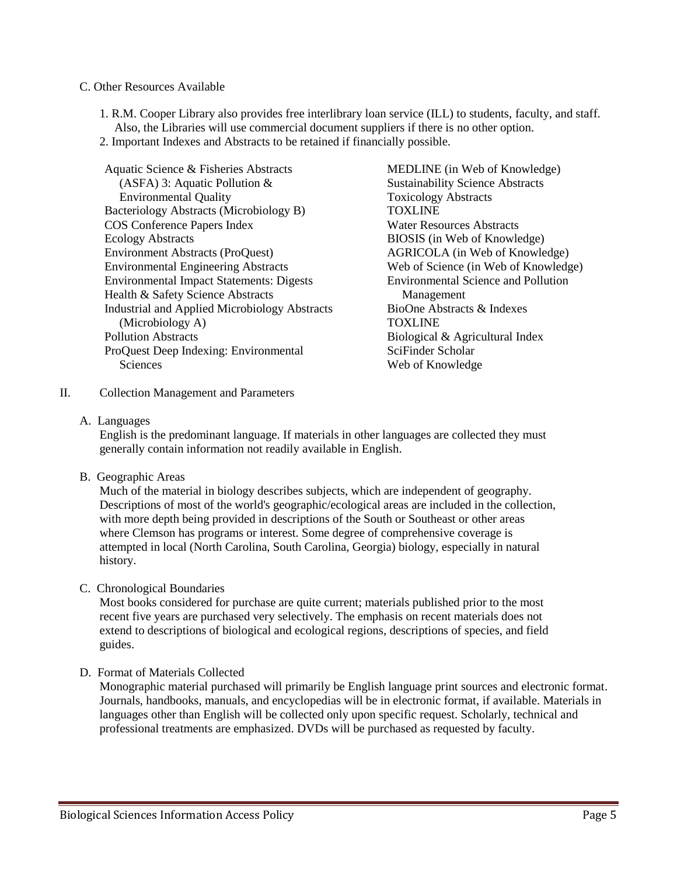#### C. Other Resources Available

- 1. R.M. Cooper Library also provides free interlibrary loan service (ILL) to students, faculty, and staff. Also, the Libraries will use commercial document suppliers if there is no other option.
- 2. Important Indexes and Abstracts to be retained if financially possible.

Aquatic Science & Fisheries Abstracts (ASFA) 3: Aquatic Pollution & Environmental Quality Bacteriology Abstracts (Microbiology B) COS Conference Papers Index Ecology Abstracts Environment Abstracts (ProQuest) Environmental Engineering Abstracts Environmental Impact Statements: Digests Health & Safety Science Abstracts Industrial and Applied Microbiology Abstracts (Microbiology A) Pollution Abstracts ProQuest Deep Indexing: Environmental **Sciences** 

MEDLINE (in Web of Knowledge) Sustainability Science Abstracts Toxicology Abstracts TOXLINE Water Resources Abstracts BIOSIS (in Web of Knowledge) AGRICOLA (in Web of Knowledge) Web of Science (in Web of Knowledge) Environmental Science and Pollution Management BioOne Abstracts & Indexes **TOXLINE** Biological & Agricultural Index SciFinder Scholar Web of Knowledge

- II. Collection Management and Parameters
	- A. Languages

English is the predominant language. If materials in other languages are collected they must generally contain information not readily available in English.

B. Geographic Areas

Much of the material in biology describes subjects, which are independent of geography. Descriptions of most of the world's geographic/ecological areas are included in the collection, with more depth being provided in descriptions of the South or Southeast or other areas where Clemson has programs or interest. Some degree of comprehensive coverage is attempted in local (North Carolina, South Carolina, Georgia) biology, especially in natural history.

C. Chronological Boundaries

Most books considered for purchase are quite current; materials published prior to the most recent five years are purchased very selectively. The emphasis on recent materials does not extend to descriptions of biological and ecological regions, descriptions of species, and field guides.

D. Format of Materials Collected

Monographic material purchased will primarily be English language print sources and electronic format. Journals, handbooks, manuals, and encyclopedias will be in electronic format, if available. Materials in languages other than English will be collected only upon specific request. Scholarly, technical and professional treatments are emphasized. DVDs will be purchased as requested by faculty.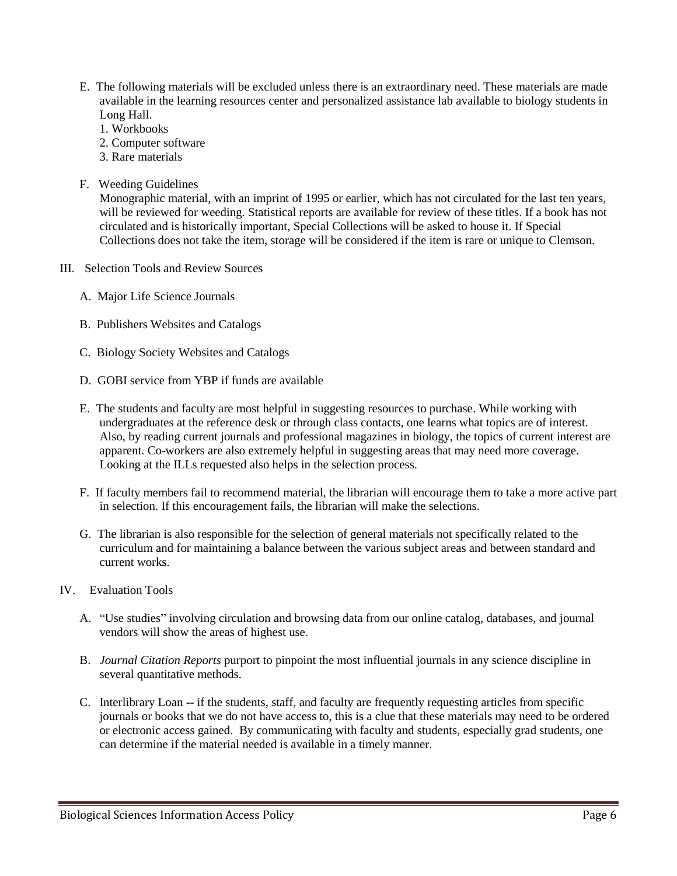- E. The following materials will be excluded unless there is an extraordinary need. These materials are made available in the learning resources center and personalized assistance lab available to biology students in Long Hall.
	- 1. Workbooks
	- 2. Computer software
	- 3. Rare materials
- F. Weeding Guidelines

Monographic material, with an imprint of 1995 or earlier, which has not circulated for the last ten years, will be reviewed for weeding. Statistical reports are available for review of these titles. If a book has not circulated and is historically important, Special Collections will be asked to house it. If Special Collections does not take the item, storage will be considered if the item is rare or unique to Clemson.

- III. Selection Tools and Review Sources
	- A. Major Life Science Journals
	- B. Publishers Websites and Catalogs
	- C. Biology Society Websites and Catalogs
	- D. GOBI service from YBP if funds are available
	- E. The students and faculty are most helpful in suggesting resources to purchase. While working with undergraduates at the reference desk or through class contacts, one learns what topics are of interest. Also, by reading current journals and professional magazines in biology, the topics of current interest are apparent. Co-workers are also extremely helpful in suggesting areas that may need more coverage. Looking at the ILLs requested also helps in the selection process.
	- F. If faculty members fail to recommend material, the librarian will encourage them to take a more active part in selection. If this encouragement fails, the librarian will make the selections.
	- G. The librarian is also responsible for the selection of general materials not specifically related to the curriculum and for maintaining a balance between the various subject areas and between standard and current works.
- IV. Evaluation Tools
	- A. "Use studies" involving circulation and browsing data from our online catalog, databases, and journal vendors will show the areas of highest use.
	- B. *Journal Citation Reports* purport to pinpoint the most influential journals in any science discipline in several quantitative methods.
	- C. Interlibrary Loan -- if the students, staff, and faculty are frequently requesting articles from specific journals or books that we do not have access to, this is a clue that these materials may need to be ordered or electronic access gained. By communicating with faculty and students, especially grad students, one can determine if the material needed is available in a timely manner.